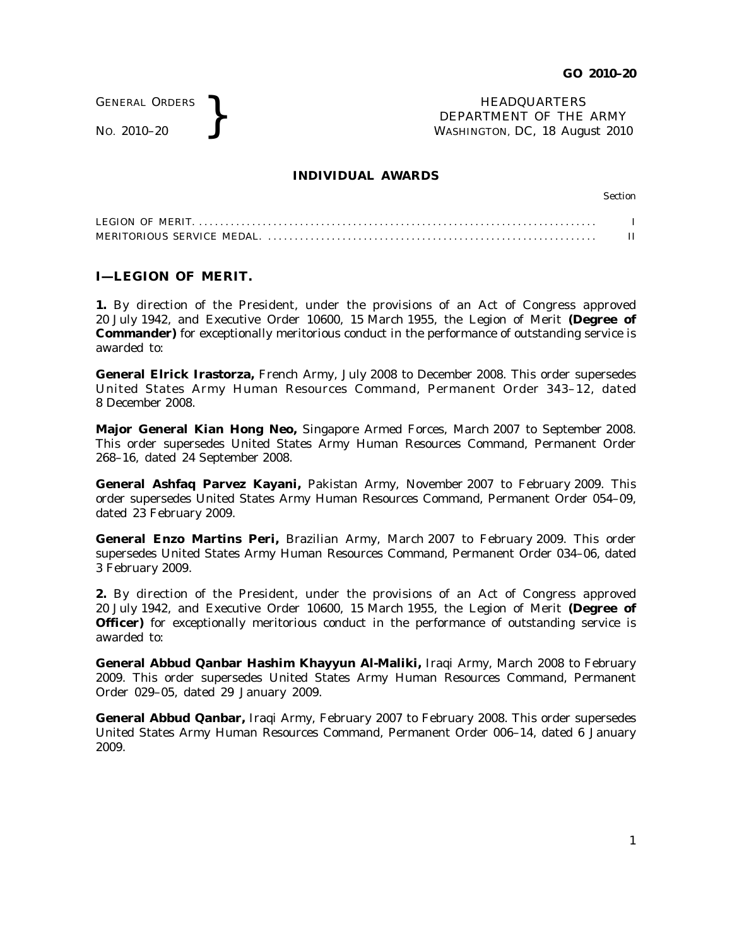GENERAL ORDERS

GENERAL ORDERS **REAL ORDERS** HEADQUARTERS **NEADQUARTERS NEADQUARTERS NEADQUARTERS DEPARTMENT** OF THE **WASHINGTON, DC, 18 Aug** DEPARTMENT OF THE ARMY WASHINGTON, DC, *18 August 2010*

## **INDIVIDUAL AWARDS**

Section

## **I—LEGION OF MERIT.**

**1.** By direction of the President, under the provisions of an Act of Congress approved 20 July 1942, and Executive Order 10600, 15 March 1955, the Legion of Merit **(Degree of Commander)** for exceptionally meritorious conduct in the performance of outstanding service is awarded to:

**General Elrick Irastorza,** French Army, July 2008 to December 2008. This order supersedes United States Army Human Resources Command, Permanent Order 343-12, dated 8 December 2008.

**Major General Kian Hong Neo,** Singapore Armed Forces, March 2007 to September 2008. This order supersedes United States Army Human Resources Command, Permanent Order 268–16, dated 24 September 2008.

**General Ashfaq Parvez Kayani,** Pakistan Army, November 2007 to February 2009. This order supersedes United States Army Human Resources Command, Permanent Order 054–09, dated 23 February 2009.

**General Enzo Martins Peri, Brazilian Army, March 2007 to February 2009. This order** supersedes United States Army Human Resources Command, Permanent Order 034–06, dated 3 February 2009.

**2.** By direction of the President, under the provisions of an Act of Congress approved 20 July 1942, and Executive Order 10600, 15 March 1955, the Legion of Merit **(Degree of Officer)** for exceptionally meritorious conduct in the performance of outstanding service is awarded to:

**General Abbud Qanbar Hashim Khayyun Al-Maliki,** Iraqi Army, March 2008 to February 2009. This order supersedes United States Army Human Resources Command, Permanent Order 029–05, dated 29 January 2009.

**General Abbud Qanbar,** Iraqi Army, February 2007 to February 2008. This order supersedes United States Army Human Resources Command, Permanent Order 006–14, dated 6 January 2009.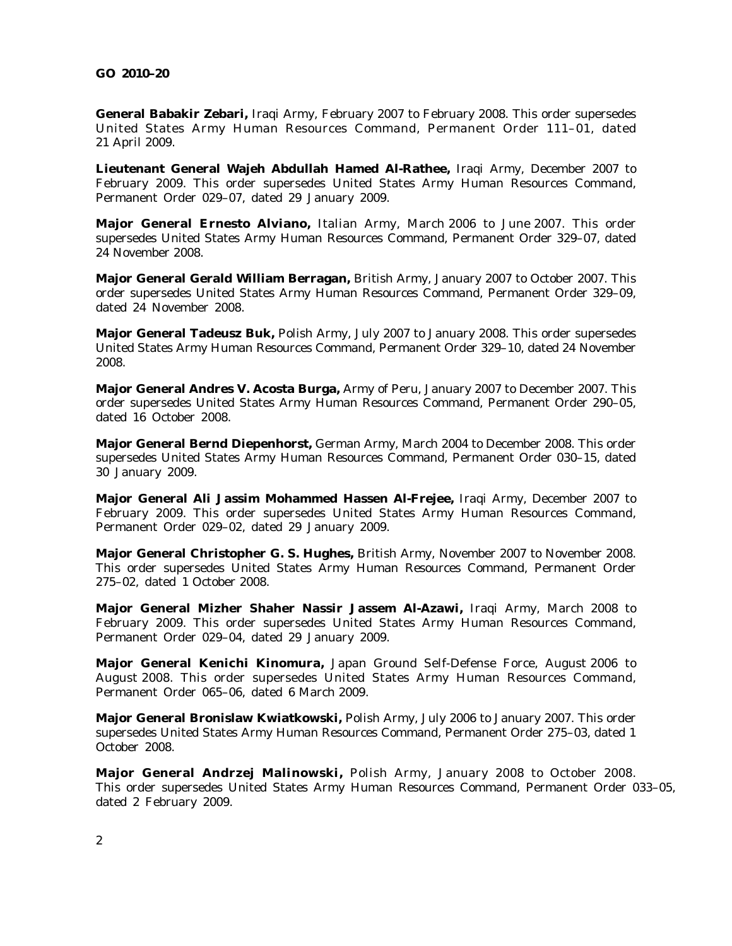## **GO 2010–20**

**General Babakir Zebari,** Iraqi Army, February 2007 to February 2008. This order supersedes United States Army Human Resources Command, Permanent Order 111-01, dated 21 April 2009.

**Lieutenant General Wajeh Abdullah Hamed Al-Rathee,** Iraqi Army, December 2007 to February 2009. This order supersedes United States Army Human Resources Command, Permanent Order 029–07, dated 29 January 2009.

**Major General Ernesto Alviano,** Italian Army, March 2006 to June 2007. This order supersedes United States Army Human Resources Command, Permanent Order 329–07, dated 24 November 2008.

**Major General Gerald William Berragan,** British Army, January 2007 to October 2007. This order supersedes United States Army Human Resources Command, Permanent Order 329–09, dated 24 November 2008.

**Major General Tadeusz Buk,** Polish Army, July 2007 to January 2008. This order supersedes United States Army Human Resources Command, Permanent Order 329–10, dated 24 November 2008.

**Major General Andres V. Acosta Burga,** Army of Peru, January 2007 to December 2007. This order supersedes United States Army Human Resources Command, Permanent Order 290–05, dated 16 October 2008.

**Major General Bernd Diepenhorst,** German Army, March 2004 to December 2008. This order supersedes United States Army Human Resources Command, Permanent Order 030–15, dated 30 January 2009.

**Major General Ali Jassim Mohammed Hassen Al-Frejee,** Iraqi Army, December 2007 to February 2009. This order supersedes United States Army Human Resources Command, Permanent Order 029–02, dated 29 January 2009.

**Major General Christopher G. S. Hughes,** British Army, November 2007 to November 2008. This order supersedes United States Army Human Resources Command, Permanent Order 275–02, dated 1 October 2008.

**Major General Mizher Shaher Nassir Jassem Al-Azawi, Iraqi Army, March 2008 to** February 2009. This order supersedes United States Army Human Resources Command, Permanent Order 029–04, dated 29 January 2009.

**Major General Kenichi Kinomura,** Japan Ground Self-Defense Force, August 2006 to August 2008. This order supersedes United States Army Human Resources Command, Permanent Order 065–06, dated 6 March 2009.

**Major General Bronislaw Kwiatkowski,** Polish Army, July 2006 to January 2007. This order supersedes United States Army Human Resources Command, Permanent Order 275–03, dated 1 October 2008.

Major General Andrzej Malinowski, Polish Army, January 2008 to October 2008. This order supersedes United States Army Human Resources Command, Permanent Order 033–05, dated 2 February 2009.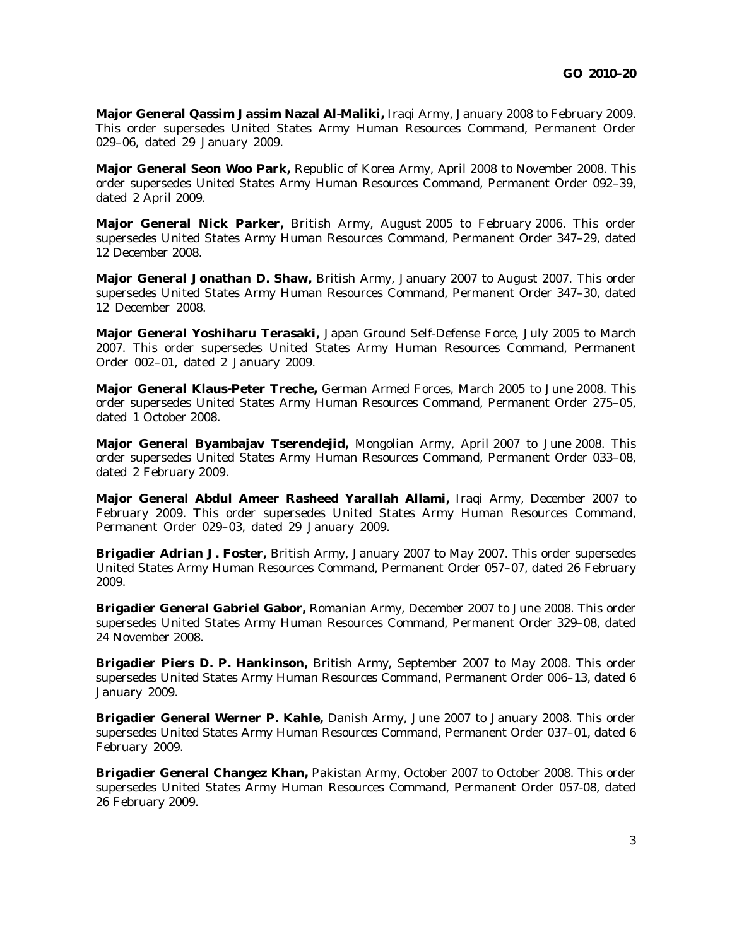**Major General Qassim Jassim Nazal Al-Maliki,** Iraqi Army, January 2008 to February 2009. This order supersedes United States Army Human Resources Command, Permanent Order 029–06, dated 29 January 2009.

**Major General Seon Woo Park,** Republic of Korea Army, April 2008 to November 2008. This order supersedes United States Army Human Resources Command, Permanent Order 092–39, dated 2 April 2009.

**Major General Nick Parker,** British Army, August 2005 to February 2006. This order supersedes United States Army Human Resources Command, Permanent Order 347–29, dated 12 December 2008.

**Major General Jonathan D. Shaw,** British Army, January 2007 to August 2007. This order supersedes United States Army Human Resources Command, Permanent Order 347–30, dated 12 December 2008.

**Major General Yoshiharu Terasaki,** Japan Ground Self-Defense Force, July 2005 to March 2007. This order supersedes United States Army Human Resources Command, Permanent Order 002–01, dated 2 January 2009.

**Major General Klaus-Peter Treche,** German Armed Forces, March 2005 to June 2008. This order supersedes United States Army Human Resources Command, Permanent Order 275–05, dated 1 October 2008.

**Major General Byambajav Tserendejid,** Mongolian Army, April 2007 to June 2008. This order supersedes United States Army Human Resources Command, Permanent Order 033–08, dated 2 February 2009.

**Major General Abdul Ameer Rasheed Yarallah Allami,** Iraqi Army, December 2007 to February 2009. This order supersedes United States Army Human Resources Command, Permanent Order 029–03, dated 29 January 2009.

**Brigadier Adrian J. Foster,** British Army, January 2007 to May 2007. This order supersedes United States Army Human Resources Command, Permanent Order 057–07, dated 26 February 2009.

**Brigadier General Gabriel Gabor,** Romanian Army, December 2007 to June 2008. This order supersedes United States Army Human Resources Command, Permanent Order 329–08, dated 24 November 2008.

**Brigadier Piers D. P. Hankinson,** British Army, September 2007 to May 2008. This order supersedes United States Army Human Resources Command, Permanent Order 006–13, dated 6 January 2009.

**Brigadier General Werner P. Kahle,** Danish Army, June 2007 to January 2008. This order supersedes United States Army Human Resources Command, Permanent Order 037–01, dated 6 February 2009.

**Brigadier General Changez Khan,** Pakistan Army, October 2007 to October 2008. This order supersedes United States Army Human Resources Command, Permanent Order 057-08, dated 26 February 2009.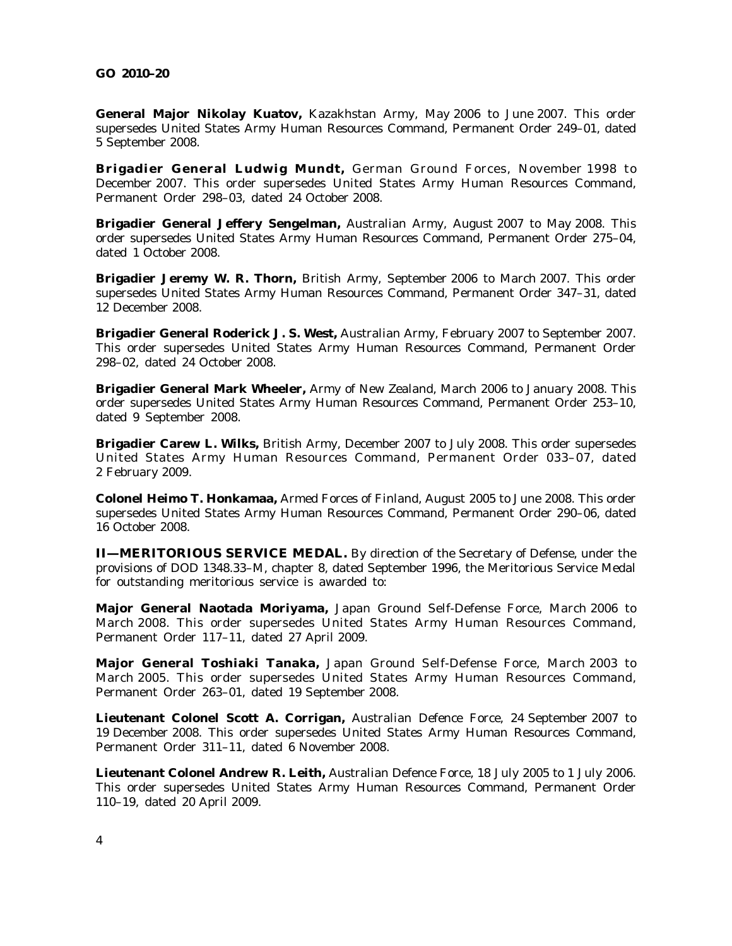**General Major Nikolay Kuatov, Kazakhstan Army, May 2006 to June 2007. This order** supersedes United States Army Human Resources Command, Permanent Order 249–01, dated 5 September 2008.

**Brigadier General Ludwig Mundt**, German Ground Forces, November 1998 to December 2007. This order supersedes United States Army Human Resources Command, Permanent Order 298–03, dated 24 October 2008.

**Brigadier General Jeffery Sengelman,** Australian Army, August 2007 to May 2008. This order supersedes United States Army Human Resources Command, Permanent Order 275–04, dated 1 October 2008.

**Brigadier Jeremy W. R. Thorn,** British Army, September 2006 to March 2007. This order supersedes United States Army Human Resources Command, Permanent Order 347–31, dated 12 December 2008.

**Brigadier General Roderick J. S. West,** Australian Army, February 2007 to September 2007. This order supersedes United States Army Human Resources Command, Permanent Order 298–02, dated 24 October 2008.

**Brigadier General Mark Wheeler,** Army of New Zealand, March 2006 to January 2008. This order supersedes United States Army Human Resources Command, Permanent Order 253–10, dated 9 September 2008.

**Brigadier Carew L. Wilks,** British Army, December 2007 to July 2008. This order supersedes United States Army Human Resources Command, Permanent Order 033-07, dated 2 February 2009.

**Colonel Heimo T. Honkamaa,** Armed Forces of Finland, August 2005 to June 2008. This order supersedes United States Army Human Resources Command, Permanent Order 290–06, dated 16 October 2008.

**II—MERITORIOUS SERVICE MEDAL.** By direction of the Secretary of Defense, under the provisions of DOD 1348.33–M, chapter 8, dated September 1996, the Meritorious Service Medal for outstanding meritorious service is awarded to:

**Major General Naotada Moriyama,** Japan Ground Self-Defense Force, March 2006 to March 2008. This order supersedes United States Army Human Resources Command, Permanent Order 117–11, dated 27 April 2009.

Major General Toshiaki Tanaka, Japan Ground Self-Defense Force, March 2003 to March 2005. This order supersedes United States Army Human Resources Command, Permanent Order 263–01, dated 19 September 2008.

**Lieutenant Colonel Scott A. Corrigan,** Australian Defence Force, 24 September 2007 to 19 December 2008. This order supersedes United States Army Human Resources Command, Permanent Order 311–11, dated 6 November 2008.

**Lieutenant Colonel Andrew R. Leith,** Australian Defence Force, 18 July 2005 to 1 July 2006. This order supersedes United States Army Human Resources Command, Permanent Order 110–19, dated 20 April 2009.